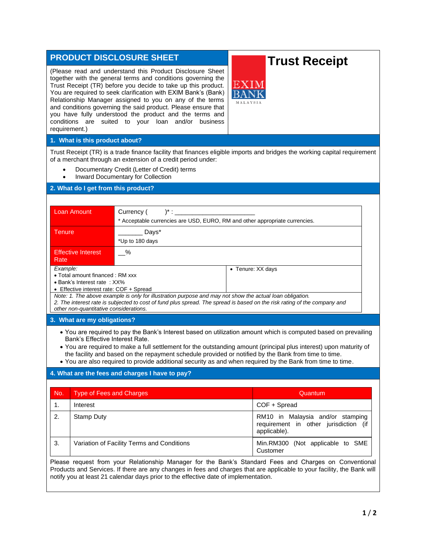## **PRODUCT DISCLOSURE SHEET**

(Please read and understand this Product Disclosure Sheet together with the general terms and conditions governing the Trust Receipt (TR) before you decide to take up this product. You are required to seek clarification with EXIM Bank's (Bank) Relationship Manager assigned to you on any of the terms and conditions governing the said product. Please ensure that you have fully understood the product and the terms and conditions are suited to your loan and/or business requirement.)

# **Trust Receipt**

## **1. What is this product about?**

Trust Receipt (TR) is a trade finance facility that finances eligible imports and bridges the working capital requirement of a merchant through an extension of a credit period under:

- Documentary Credit (Letter of Credit) terms
- Inward Documentary for Collection

## **2. What do I get from this product?**

| Loan Amount                                                                                              | Currency (<br>$^{\ast}$ :                                                   |                                                                                                                          |  |
|----------------------------------------------------------------------------------------------------------|-----------------------------------------------------------------------------|--------------------------------------------------------------------------------------------------------------------------|--|
|                                                                                                          | * Acceptable currencies are USD, EURO, RM and other appropriate currencies. |                                                                                                                          |  |
| Tenure                                                                                                   | Days*                                                                       |                                                                                                                          |  |
|                                                                                                          | *Up to 180 days                                                             |                                                                                                                          |  |
| <b>Effective Interest</b>                                                                                | %                                                                           |                                                                                                                          |  |
| Rate                                                                                                     |                                                                             |                                                                                                                          |  |
| Example:                                                                                                 |                                                                             | • Tenure: XX days                                                                                                        |  |
| • Total amount financed : RM xxx                                                                         |                                                                             |                                                                                                                          |  |
| $\bullet$ Bank's Interest rate: $XX\%$                                                                   |                                                                             |                                                                                                                          |  |
| • Effective interest rate: COF + Spread                                                                  |                                                                             |                                                                                                                          |  |
| Note: 1. The above example is only for illustration purpose and may not show the actual loan obligation. |                                                                             |                                                                                                                          |  |
|                                                                                                          |                                                                             | 2. The interest rate is subjected to cost of fund plus spread. The spread is based on the risk rating of the company and |  |

*other non-quantitative considerations.*

#### **3. What are my obligations?**

- You are required to pay the Bank's Interest based on utilization amount which is computed based on prevailing Bank's Effective Interest Rate.
- You are required to make a full settlement for the outstanding amount (principal plus interest) upon maturity of the facility and based on the repayment schedule provided or notified by the Bank from time to time.
- You are also required to provide additional security as and when required by the Bank from time to time.

## **4. What are the fees and charges I have to pay?**

| No. | <b>Type of Fees and Charges</b>            | Quantum                                                                                   |
|-----|--------------------------------------------|-------------------------------------------------------------------------------------------|
| 1.  | Interest                                   | COF + Spread                                                                              |
| 2.  | Stamp Duty                                 | RM10 in Malaysia and/or stamping<br>requirement in other jurisdiction (if<br>applicable). |
| 3.  | Variation of Facility Terms and Conditions | Min.RM300 (Not applicable to SME<br>Customer                                              |

Products and Services. If there are any changes in fees and charges that are applicable to your facility, the Bank will notify you at least 21 calendar days prior to the effective date of implementation.